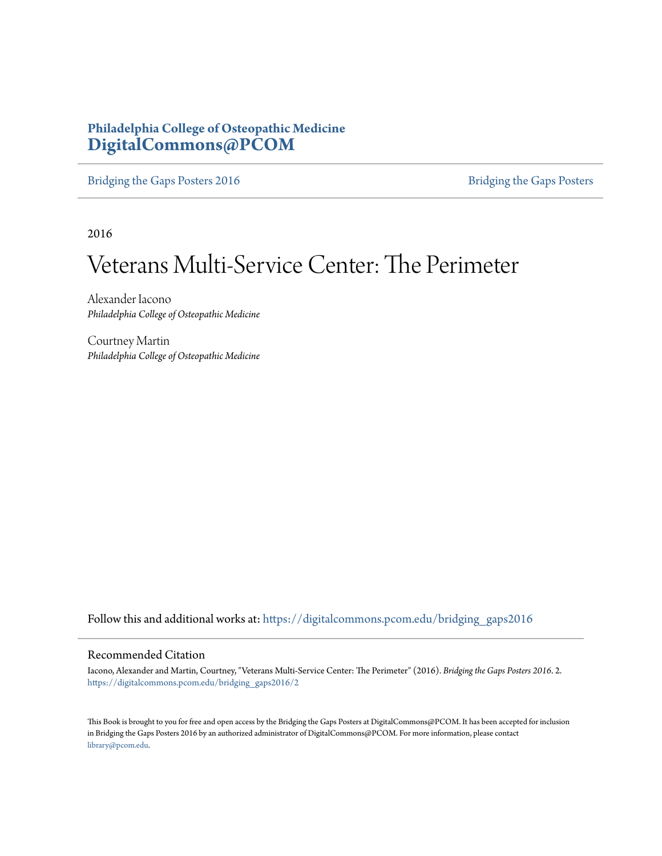# **Philadelphia College of Osteopathic Medicine [DigitalCommons@PCOM](https://digitalcommons.pcom.edu?utm_source=digitalcommons.pcom.edu%2Fbridging_gaps2016%2F2&utm_medium=PDF&utm_campaign=PDFCoverPages)**

[Bridging the Gaps Posters 2016](https://digitalcommons.pcom.edu/bridging_gaps2016?utm_source=digitalcommons.pcom.edu%2Fbridging_gaps2016%2F2&utm_medium=PDF&utm_campaign=PDFCoverPages) [Bridging the Gaps Posters](https://digitalcommons.pcom.edu/bridging_gaps?utm_source=digitalcommons.pcom.edu%2Fbridging_gaps2016%2F2&utm_medium=PDF&utm_campaign=PDFCoverPages)

2016

# Veterans Multi-Service Center: The Perimeter

Alexander Iacono *Philadelphia College of Osteopathic Medicine*

Courtney Martin *Philadelphia College of Osteopathic Medicine*

Follow this and additional works at: [https://digitalcommons.pcom.edu/bridging\\_gaps2016](https://digitalcommons.pcom.edu/bridging_gaps2016?utm_source=digitalcommons.pcom.edu%2Fbridging_gaps2016%2F2&utm_medium=PDF&utm_campaign=PDFCoverPages)

## Recommended Citation

Iacono, Alexander and Martin, Courtney, "Veterans Multi-Service Center: The Perimeter" (2016). *Bridging the Gaps Posters 2016*. 2. [https://digitalcommons.pcom.edu/bridging\\_gaps2016/2](https://digitalcommons.pcom.edu/bridging_gaps2016/2?utm_source=digitalcommons.pcom.edu%2Fbridging_gaps2016%2F2&utm_medium=PDF&utm_campaign=PDFCoverPages)

This Book is brought to you for free and open access by the Bridging the Gaps Posters at DigitalCommons@PCOM. It has been accepted for inclusion in Bridging the Gaps Posters 2016 by an authorized administrator of DigitalCommons@PCOM. For more information, please contact [library@pcom.edu](mailto:library@pcom.edu).